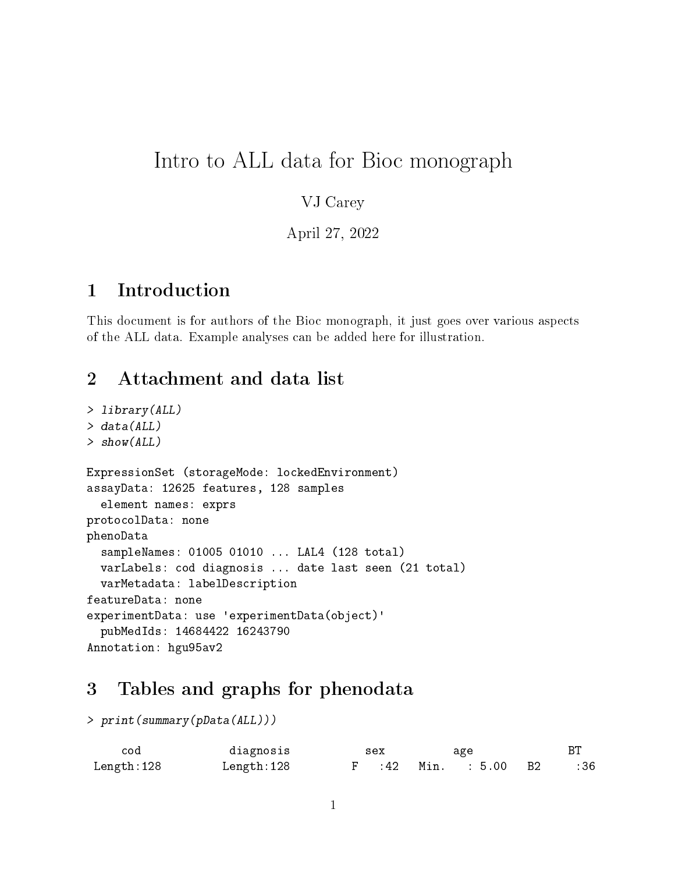# Intro to ALL data for Bioc monograph

#### VJ Carey

April 27, 2022

### 1 Introduction

This document is for authors of the Bioc monograph, it just goes over various aspects of the ALL data. Example analyses can be added here for illustration.

## 2 Attachment and data list

```
> library(ALL)
> data(ALL)
> show(ALL)
ExpressionSet (storageMode: lockedEnvironment)
assayData: 12625 features, 128 samples
  element names: exprs
protocolData: none
phenoData
  sampleNames: 01005 01010 ... LAL4 (128 total)
  varLabels: cod diagnosis ... date last seen (21 total)
  varMetadata: labelDescription
featureData: none
experimentData: use 'experimentData(object)'
  pubMedIds: 14684422 16243790
Annotation: hgu95av2
```
#### 3 Tables and graphs for phenodata

```
> print(summary(pData(ALL)))
```

| cod        | diagnosis  | sex | age                  |     |
|------------|------------|-----|----------------------|-----|
| Length:128 | Length:128 |     | F :42 Min. : 5.00 B2 | :36 |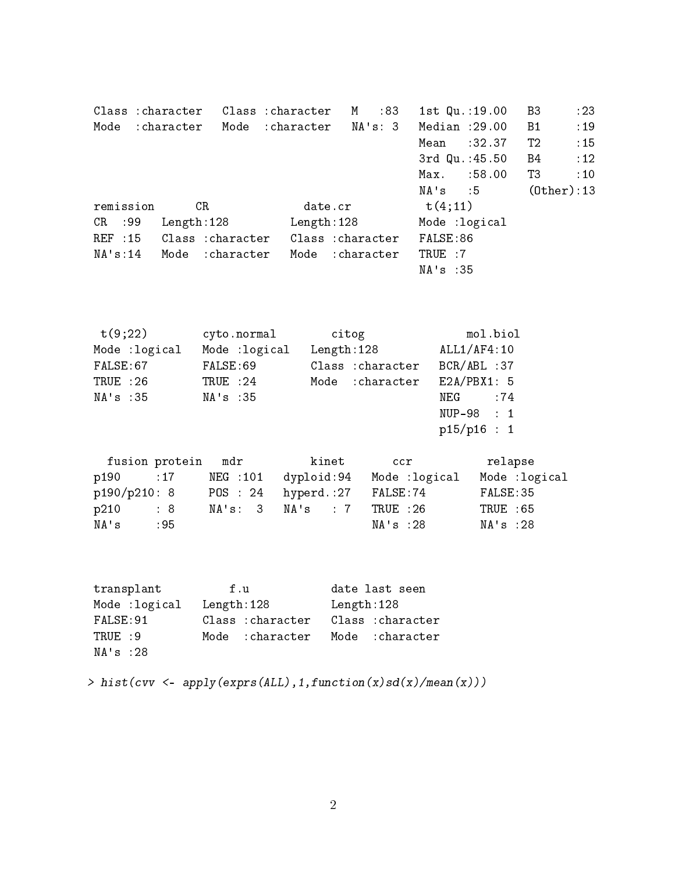Class : character Class : character M : 83 1st Qu.: 19.00 B3 : 23 Mode : character Mode : character NA's: 3 Median : 29.00 B1 : 19 Mean : 32.37 T2 : 15 3rd Qu.: 45.50 B4 : 12 Max. : 58.00 T3 : 10 NA's :5 (Other):13 remission  $CR$  date.cr  $t(4;11)$ CR :99 Length:128 Length:128 Mode :logical REF : 15 Class : character Class : character FALSE: 86 NA's:14 Mode :character Mode :character TRUE :7 NA's :35

| t(9;22)        | cyto.normal    | citog             | mol.biol       |
|----------------|----------------|-------------------|----------------|
| Mode : logical | Mode : logical | Length: 128       | ALL1/AF4:10    |
| FALSE:67       | FALSE: 69      | Class : character | $BCR/ABL$ : 37 |
| TRUE:26        | TRUE : 24      | Mode : character  | E2A/PBX1: 5    |
| NA's :35       | NA's : 35      |                   | $NEG$ : 74     |
|                |                |                   | $NUP-98$ : 1   |
|                |                |                   | p15/p16 : 1    |

|              | fusion protein mdr |         | kinet                          | ccr           | relapse       |
|--------------|--------------------|---------|--------------------------------|---------------|---------------|
| p190 : 17    |                    | NEG:101 | dyploid:94                     | Mode :logical | Mode :logical |
| p190/p210: 8 |                    |         | POS : 24 hyperd.: 27 FALSE: 74 |               | FALSE:35      |
| p210         | $\therefore$ 8     |         | NA's: 3 MA's : 7               | TRUE :26      | TRUE : 65     |
| NA's         | : 95               |         |                                | NA's :28      | NA's :28      |

| transplant     | f u               | date last seen    |
|----------------|-------------------|-------------------|
| Mode : logical | Length:128        | Length: 128       |
| FALSE: 91      | Class : character | Class : character |
| TRUE : 9       | Mode : character  | Mode :character   |
| NA's : 28      |                   |                   |

> hist(cvv <- apply(exprs(ALL),1,function(x)sd(x)/mean(x)))

2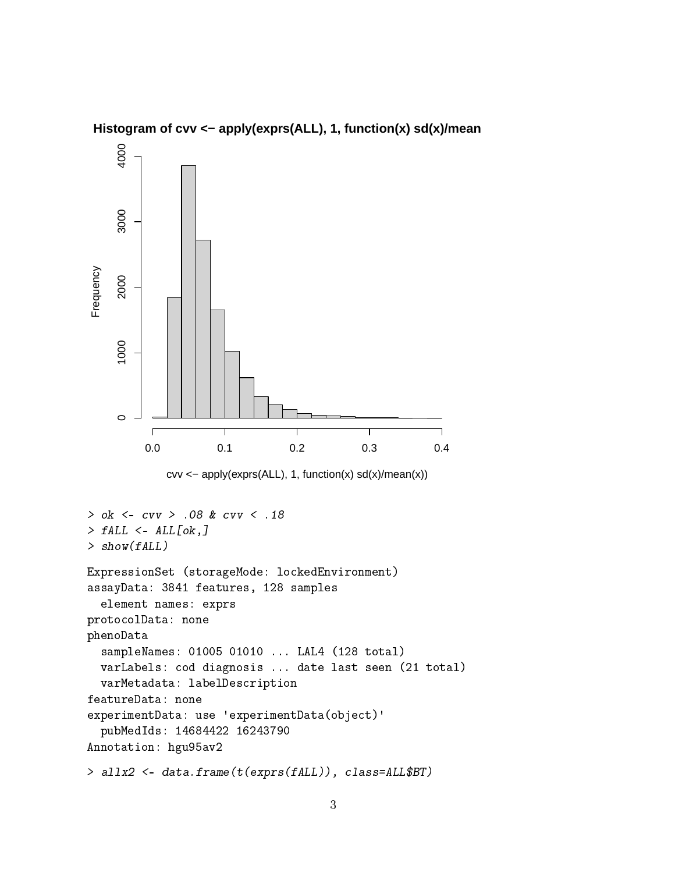

Histogram of cvv <- apply(exprs(ALL), 1, function(x) sd(x)/mean